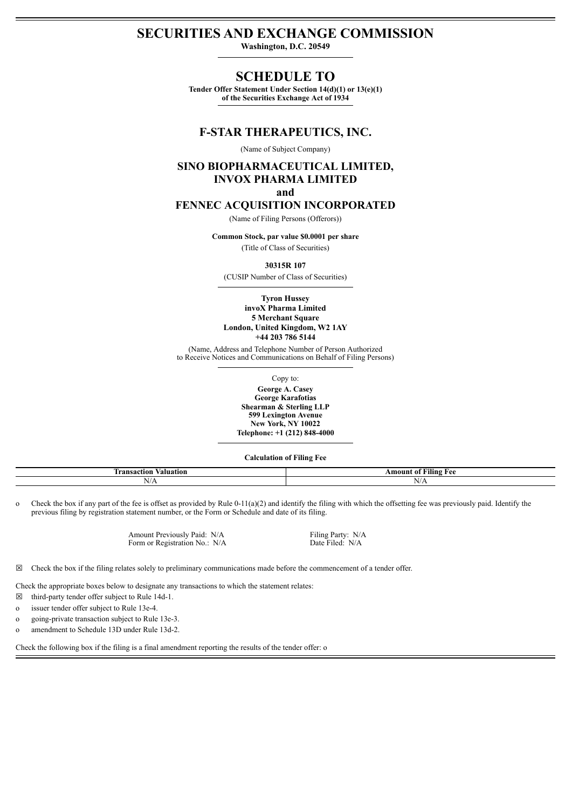# **SECURITIES AND EXCHANGE COMMISSION**

**Washington, D.C. 20549**

# **SCHEDULE TO**

**Tender Offer Statement Under Section 14(d)(1) or 13(e)(1) of the Securities Exchange Act of 1934**

#### **F-STAR THERAPEUTICS, INC.**

(Name of Subject Company)

# **SINO BIOPHARMACEUTICAL LIMITED, INVOX PHARMA LIMITED**

**and**

### **FENNEC ACQUISITION INCORPORATED**

(Name of Filing Persons (Offerors))

**Common Stock, par value \$0.0001 per share** (Title of Class of Securities)

**30315R 107**

(CUSIP Number of Class of Securities)

**Tyron Hussey invoX Pharma Limited 5 Merchant Square London, United Kingdom, W2 1AY +44 203 786 5144**

(Name, Address and Telephone Number of Person Authorized to Receive Notices and Communications on Behalf of Filing Persons)

Copy to:

**George A. Casey George Karafotias Shearman & Sterling LLP 599 Lexington Avenue New York, NY 10022 Telephone: +1 (212) 848-4000**

**Calculation of Filing Fee**

| -<br>valuation<br>ransaction | $- - - -$<br>Amoun<br>Alıng<br>-01<br>$\mathbf{a}$<br>$\sim$<br>. |
|------------------------------|-------------------------------------------------------------------|
| -<br>A.<br>13/71             | N/A                                                               |
|                              |                                                                   |

o Check the box if any part of the fee is offset as provided by Rule 0-11(a)(2) and identify the filing with which the offsetting fee was previously paid. Identify the previous filing by registration statement number, or the Form or Schedule and date of its filing.

> Amount Previously Paid: N/A Filing Party: N/A Form or Registration No.: N/A Date Filed: N/A

 $\boxtimes$  Check the box if the filing relates solely to preliminary communications made before the commencement of a tender offer.

Check the appropriate boxes below to designate any transactions to which the statement relates:

- $\boxtimes$  third-party tender offer subject to Rule 14d-1.
- o issuer tender offer subject to Rule 13e-4.
- o going-private transaction subject to Rule 13e-3.
- o amendment to Schedule 13D under Rule 13d-2.

Check the following box if the filing is a final amendment reporting the results of the tender offer: o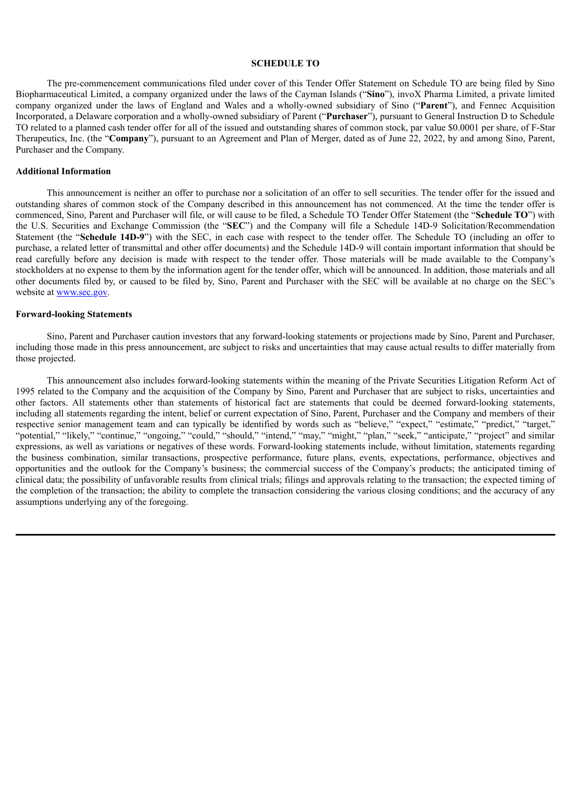#### **SCHEDULE TO**

The pre-commencement communications filed under cover of this Tender Offer Statement on Schedule TO are being filed by Sino Biopharmaceutical Limited, a company organized under the laws of the Cayman Islands ("**Sino**"), invoX Pharma Limited, a private limited company organized under the laws of England and Wales and a wholly-owned subsidiary of Sino ("**Parent**"), and Fennec Acquisition Incorporated, a Delaware corporation and a wholly-owned subsidiary of Parent ("**Purchaser**"), pursuant to General Instruction D to Schedule TO related to a planned cash tender offer for all of the issued and outstanding shares of common stock, par value \$0.0001 per share, of F-Star Therapeutics, Inc. (the "**Company**"), pursuant to an Agreement and Plan of Merger, dated as of June 22, 2022, by and among Sino, Parent, Purchaser and the Company.

#### **Additional Information**

This announcement is neither an offer to purchase nor a solicitation of an offer to sell securities. The tender offer for the issued and outstanding shares of common stock of the Company described in this announcement has not commenced. At the time the tender offer is commenced, Sino, Parent and Purchaser will file, or will cause to be filed, a Schedule TO Tender Offer Statement (the "**Schedule TO**") with the U.S. Securities and Exchange Commission (the "**SEC**") and the Company will file a Schedule 14D-9 Solicitation/Recommendation Statement (the "**Schedule 14D-9**") with the SEC, in each case with respect to the tender offer. The Schedule TO (including an offer to purchase, a related letter of transmittal and other offer documents) and the Schedule 14D-9 will contain important information that should be read carefully before any decision is made with respect to the tender offer. Those materials will be made available to the Company's stockholders at no expense to them by the information agent for the tender offer, which will be announced. In addition, those materials and all other documents filed by, or caused to be filed by, Sino, Parent and Purchaser with the SEC will be available at no charge on the SEC's website at www.sec.gov.

#### **Forward-looking Statements**

Sino, Parent and Purchaser caution investors that any forward-looking statements or projections made by Sino, Parent and Purchaser, including those made in this press announcement, are subject to risks and uncertainties that may cause actual results to differ materially from those projected.

This announcement also includes forward-looking statements within the meaning of the Private Securities Litigation Reform Act of 1995 related to the Company and the acquisition of the Company by Sino, Parent and Purchaser that are subject to risks, uncertainties and other factors. All statements other than statements of historical fact are statements that could be deemed forward-looking statements, including all statements regarding the intent, belief or current expectation of Sino, Parent, Purchaser and the Company and members of their respective senior management team and can typically be identified by words such as "believe," "expect," "estimate," "predict," "target," "potential," "likely," "continue," "ongoing," "could," "should," "intend," "may," "might," "plan," "seek," "anticipate," "project" and similar expressions, as well as variations or negatives of these words. Forward-looking statements include, without limitation, statements regarding the business combination, similar transactions, prospective performance, future plans, events, expectations, performance, objectives and opportunities and the outlook for the Company's business; the commercial success of the Company's products; the anticipated timing of clinical data; the possibility of unfavorable results from clinical trials; filings and approvals relating to the transaction; the expected timing of the completion of the transaction; the ability to complete the transaction considering the various closing conditions; and the accuracy of any assumptions underlying any of the foregoing.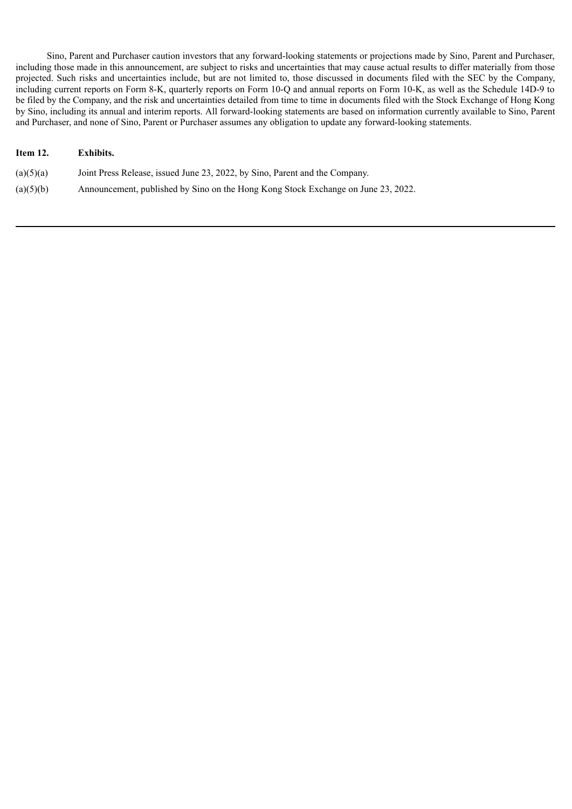Sino, Parent and Purchaser caution investors that any forward-looking statements or projections made by Sino, Parent and Purchaser, including those made in this announcement, are subject to risks and uncertainties that may cause actual results to differ materially from those projected. Such risks and uncertainties include, but are not limited to, those discussed in documents filed with the SEC by the Company, including current reports on Form 8-K, quarterly reports on Form 10-Q and annual reports on Form 10-K, as well as the Schedule 14D-9 to be filed by the Company, and the risk and uncertainties detailed from time to time in documents filed with the Stock Exchange of Hong Kong by Sino, including its annual and interim reports. All forward-looking statements are based on information currently available to Sino, Parent and Purchaser, and none of Sino, Parent or Purchaser assumes any obligation to update any forward-looking statements.

## **Item 12. Exhibits.**

| (a)(5)(a) | Joint Press Release, issued June 23, 2022, by Sino, Parent and the Company. |
|-----------|-----------------------------------------------------------------------------|
|-----------|-----------------------------------------------------------------------------|

(a)(5)(b) Announcement, published by Sino on the Hong Kong Stock Exchange on June 23, 2022.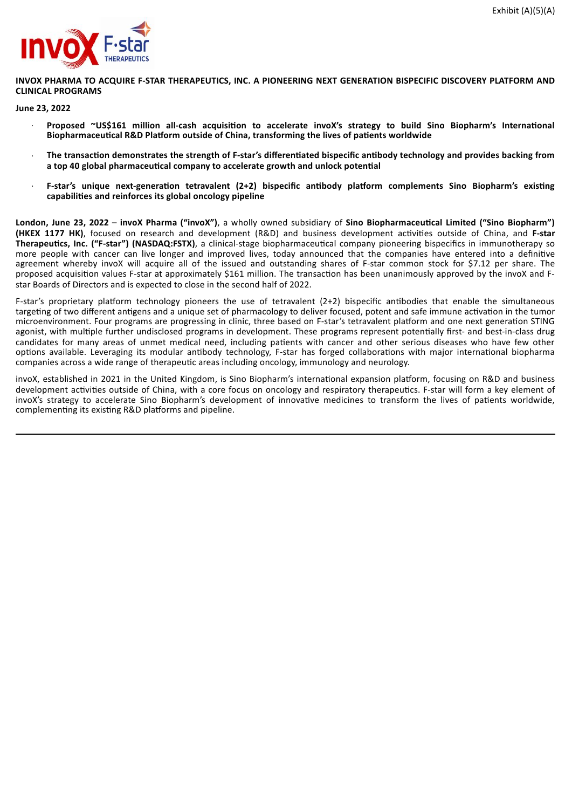

**INVOX PHARMA TO ACQUIRE F-STAR THERAPEUTICS, INC. A PIONEERING NEXT GENERATION BISPECIFIC DISCOVERY PLATFORM AND CLINICAL PROGRAMS**

#### **June 23, 2022**

- · **Proposed ~US\$161 million all-cash acquisition to accelerate invoX's strategy to build Sino Biopharm's International Biopharmaceutical R&D Platform outside of China, transforming the lives of patients worldwide**
- The transaction demonstrates the strength of F-star's differentiated bispecific antibody technology and provides backing from **a top 40 global pharmaceutical company to accelerate growth and unlock potential**
- · **F-star's unique next-generation tetravalent (2+2) bispecific antibody platform complements Sino Biopharm's existing capabilities and reinforces its global oncology pipeline**

**London, June 23, 2022** – **invoX Pharma ("invoX")**, a wholly owned subsidiary of **Sino Biopharmaceutical Limited ("Sino Biopharm") (HKEX 1177 HK)**, focused on research and development (R&D) and business development activities outside of China, and **F-star Therapeutics, Inc. ("F-star") (NASDAQ:FSTX)**, a clinical-stage biopharmaceutical company pioneering bispecifics in immunotherapy so more people with cancer can live longer and improved lives, today announced that the companies have entered into a definitive agreement whereby invoX will acquire all of the issued and outstanding shares of F-star common stock for \$7.12 per share. The proposed acquisition values F-star at approximately \$161 million. The transaction has been unanimously approved by the invoX and Fstar Boards of Directors and is expected to close in the second half of 2022.

F-star's proprietary platform technology pioneers the use of tetravalent (2+2) bispecific antibodies that enable the simultaneous targeting of two different antigens and a unique set of pharmacology to deliver focused, potent and safe immune activation in the tumor microenvironment. Four programs are progressing in clinic, three based on F-star's tetravalent platform and one next generation STING agonist, with multiple further undisclosed programs in development. These programs represent potentially first- and best-in-class drug candidates for many areas of unmet medical need, including patients with cancer and other serious diseases who have few other options available. Leveraging its modular antibody technology, F-star has forged collaborations with major international biopharma companies across a wide range of therapeutic areas including oncology, immunology and neurology.

invoX, established in 2021 in the United Kingdom, is Sino Biopharm's international expansion platform, focusing on R&D and business development activities outside of China, with a core focus on oncology and respiratory therapeutics. F-star will form a key element of invoX's strategy to accelerate Sino Biopharm's development of innovative medicines to transform the lives of patients worldwide, complementing its existing R&D platforms and pipeline.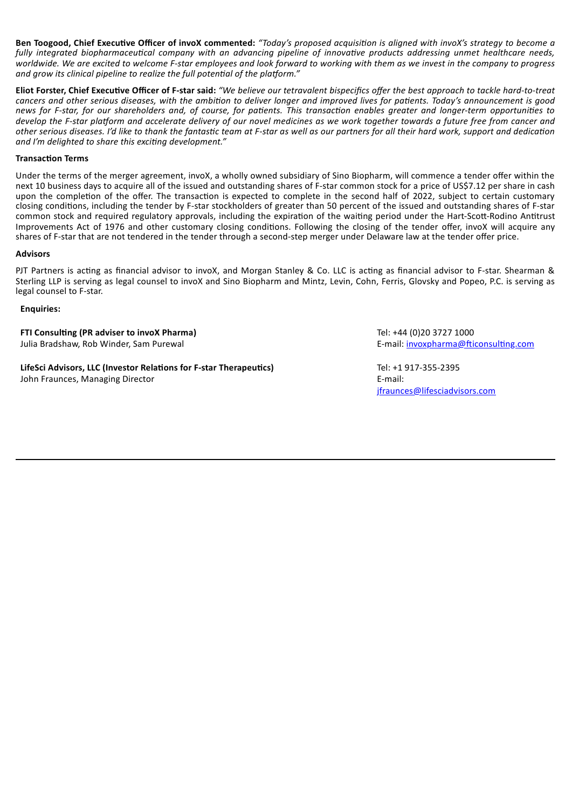Ben Toogood, Chief Executive Officer of invoX commented: "Today's proposed acquisition is alianed with invoX's strateay to become a fully integrated biopharmaceutical company with an advancing pipeline of innovative products addressing unmet healthcare needs, worldwide. We are excited to welcome F-star employees and look forward to working with them as we invest in the company to progress *and grow its clinical pipeline to realize the full potential of the platform."*

Eliot Forster, Chief Executive Officer of F-star said: "We believe our tetravalent bispecifics offer the best approach to tackle hard-to-treat cancers and other serious diseases, with the ambition to deliver longer and improved lives for patients. Today's announcement is good news for F-star, for our shareholders and, of course, for patients. This transaction enables greater and longer-term opportunities to develop the F-star platform and accelerate delivery of our novel medicines as we work together towards a future free from cancer and other serious diseases. I'd like to thank the fantastic team at F-star as well as our partners for all their hard work, support and dedication *and I'm delighted to share this exciting development."*

#### **Transaction Terms**

Under the terms of the merger agreement, invoX, a wholly owned subsidiary of Sino Biopharm, will commence a tender offer within the next 10 business days to acquire all of the issued and outstanding shares of F-star common stock for a price of US\$7.12 per share in cash upon the completion of the offer. The transaction is expected to complete in the second half of 2022, subject to certain customary closing conditions, including the tender by F-star stockholders of greater than 50 percent of the issued and outstanding shares of F-star common stock and required regulatory approvals, including the expiration of the waiting period under the Hart-Scott-Rodino Antitrust Improvements Act of 1976 and other customary closing conditions. Following the closing of the tender offer, invoX will acquire any shares of F-star that are not tendered in the tender through a second-step merger under Delaware law at the tender offer price.

#### **Advisors**

PJT Partners is acting as financial advisor to invoX, and Morgan Stanley & Co. LLC is acting as financial advisor to F-star. Shearman & Sterling LLP is serving as legal counsel to invoX and Sino Biopharm and Mintz, Levin, Cohn, Ferris, Glovsky and Popeo, P.C. is serving as legal counsel to F-star.

#### **Enquiries:**

**FTI Consulting (PR adviser to invoX Pharma)** Tel: +44 (0)20 3727 1000 Julia Bradshaw, Rob Winder, Sam Purewal **E-mail:** invoxpharma@fticonsulting.com

**LifeSci Advisors, LLC (Investor Relations for F-star Therapeutics)** Tel: +1 917-355-2395 John Fraunces, Managing Director **E-mail:** E-mail:

jfraunces@lifesciadvisors.com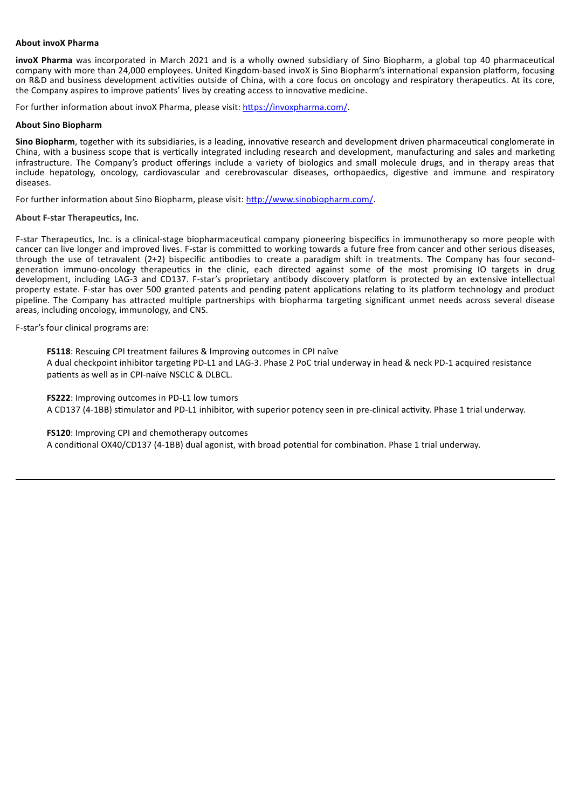#### **About invoX Pharma**

**invoX Pharma** was incorporated in March 2021 and is a wholly owned subsidiary of Sino Biopharm, a global top 40 pharmaceutical company with more than 24,000 employees. United Kingdom-based invoX is Sino Biopharm's international expansion platform, focusing on R&D and business development activities outside of China, with a core focus on oncology and respiratory therapeutics. At its core, the Company aspires to improve patients' lives by creating access to innovative medicine.

For further information about invoX Pharma, please visit: https://invoxpharma.com/.

#### **About Sino Biopharm**

**Sino Biopharm**, together with its subsidiaries, is a leading, innovative research and development driven pharmaceutical conglomerate in China, with a business scope that is vertically integrated including research and development, manufacturing and sales and marketing infrastructure. The Company's product offerings include a variety of biologics and small molecule drugs, and in therapy areas that include hepatology, oncology, cardiovascular and cerebrovascular diseases, orthopaedics, digestive and immune and respiratory diseases.

For further information about Sino Biopharm, please visit: http://www.sinobiopharm.com/.

#### **About F-star Therapeutics, Inc.**

F-star Therapeutics, Inc. is a clinical-stage biopharmaceutical company pioneering bispecifics in immunotherapy so more people with cancer can live longer and improved lives. F-star is committed to working towards a future free from cancer and other serious diseases, through the use of tetravalent (2+2) bispecific antibodies to create a paradigm shift in treatments. The Company has four secondgeneration immuno-oncology therapeutics in the clinic, each directed against some of the most promising IO targets in drug development, including LAG-3 and CD137. F-star's proprietary antibody discovery platform is protected by an extensive intellectual property estate. F-star has over 500 granted patents and pending patent applications relating to its platform technology and product pipeline. The Company has attracted multiple partnerships with biopharma targeting significant unmet needs across several disease areas, including oncology, immunology, and CNS.

F-star's four clinical programs are:

**FS118**: Rescuing CPI treatment failures & Improving outcomes in CPI naïve

A dual checkpoint inhibitor targeting PD-L1 and LAG-3. Phase 2 PoC trial underway in head & neck PD-1 acquired resistance patients as well as in CPI-naïve NSCLC & DLBCL.

**FS222**: Improving outcomes in PD-L1 low tumors A CD137 (4-1BB) stimulator and PD-L1 inhibitor, with superior potency seen in pre-clinical activity. Phase 1 trial underway.

**FS120**: Improving CPI and chemotherapy outcomes

A conditional OX40/CD137 (4-1BB) dual agonist, with broad potential for combination. Phase 1 trial underway.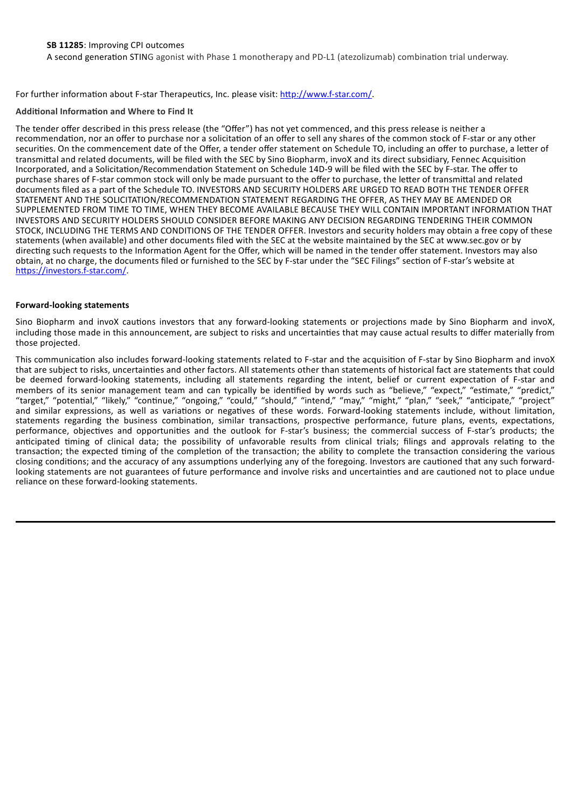A second generation STING agonist with Phase 1 monotherapy and PD-L1 (atezolizumab) combination trial underway.

For further information about F-star Therapeutics, Inc. please visit: http://www.f-star.com/.

#### **Additional Information and Where to Find It**

The tender offer described in this press release (the "Offer") has not yet commenced, and this press release is neither a recommendation, nor an offer to purchase nor a solicitation of an offer to sell any shares of the common stock of F-star or any other securities. On the commencement date of the Offer, a tender offer statement on Schedule TO, including an offer to purchase, a letter of transmittal and related documents, will be filed with the SEC by Sino Biopharm, invoX and its direct subsidiary, Fennec Acquisition Incorporated, and a Solicitation/Recommendation Statement on Schedule 14D-9 will be filed with the SEC by F-star. The offer to purchase shares of F-star common stock will only be made pursuant to the offer to purchase, the letter of transmittal and related documents filed as a part of the Schedule TO. INVESTORS AND SECURITY HOLDERS ARE URGED TO READ BOTH THE TENDER OFFER STATEMENT AND THE SOLICITATION/RECOMMENDATION STATEMENT REGARDING THE OFFER, AS THEY MAY BE AMENDED OR SUPPLEMENTED FROM TIME TO TIME, WHEN THEY BECOME AVAILABLE BECAUSE THEY WILL CONTAIN IMPORTANT INFORMATION THAT INVESTORS AND SECURITY HOLDERS SHOULD CONSIDER BEFORE MAKING ANY DECISION REGARDING TENDERING THEIR COMMON STOCK, INCLUDING THE TERMS AND CONDITIONS OF THE TENDER OFFER. Investors and security holders may obtain a free copy of these statements (when available) and other documents filed with the SEC at the website maintained by the SEC at www.sec.gov or by directing such requests to the Information Agent for the Offer, which will be named in the tender offer statement. Investors may also obtain, at no charge, the documents filed or furnished to the SEC by F-star under the "SEC Filings" section of F-star's website at https://investors.f-star.com/.

#### **Forward-looking statements**

Sino Biopharm and invoX cautions investors that any forward-looking statements or projections made by Sino Biopharm and invoX, including those made in this announcement, are subject to risks and uncertainties that may cause actual results to differ materially from those projected.

This communication also includes forward-looking statements related to F-star and the acquisition of F-star by Sino Biopharm and invoX that are subject to risks, uncertainties and other factors. All statements other than statements of historical fact are statements that could be deemed forward-looking statements, including all statements regarding the intent, belief or current expectation of F-star and members of its senior management team and can typically be identified by words such as "believe," "expect," "estimate," "predict," "target," "potential," "likely," "continue," "ongoing," "could," "should," "intend," "may," "might," "plan," "seek," "anticipate," "project" and similar expressions, as well as variations or negatives of these words. Forward-looking statements include, without limitation, statements regarding the business combination, similar transactions, prospective performance, future plans, events, expectations, performance, objectives and opportunities and the outlook for F-star's business; the commercial success of F-star's products; the anticipated timing of clinical data; the possibility of unfavorable results from clinical trials; filings and approvals relating to the transaction; the expected timing of the completion of the transaction; the ability to complete the transaction considering the various closing conditions; and the accuracy of any assumptions underlying any of the foregoing. Investors are cautioned that any such forwardlooking statements are not guarantees of future performance and involve risks and uncertainties and are cautioned not to place undue reliance on these forward-looking statements.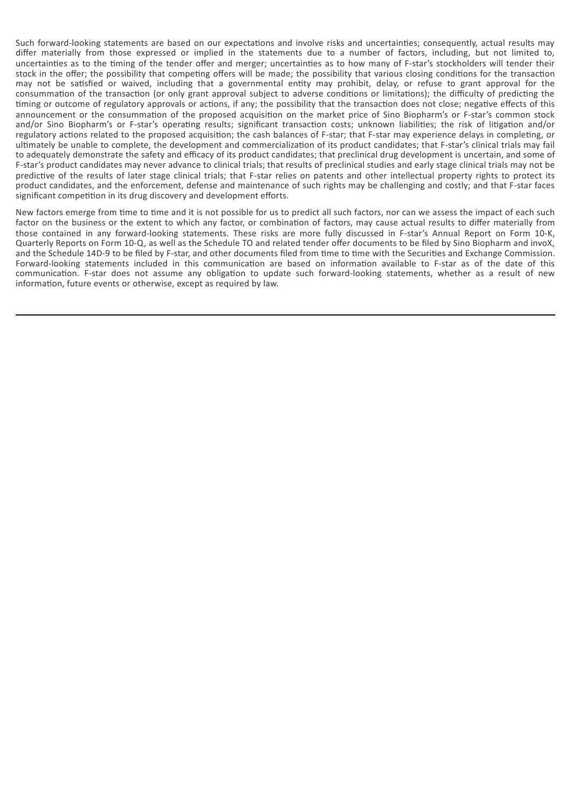Such forward-looking statements are based on our expectations and involve risks and uncertainties; consequently, actual results may differ materially from those expressed or implied in the statements due to a number of factors, including, but not limited to, uncertainties as to the timing of the tender offer and merger; uncertainties as to how many of F-star's stockholders will tender their stock in the offer; the possibility that competing offers will be made; the possibility that various closing conditions for the transaction may not be satisfied or waived, including that a governmental entity may prohibit, delay, or refuse to grant approval for the consummation of the transaction (or only grant approval subject to adverse conditions or limitations); the difficulty of predicting the timing or outcome of regulatory approvals or actions, if any; the possibility that the transaction does not close; negative effects of this announcement or the consummation of the proposed acquisition on the market price of Sino Biopharm's or F-star's common stock and/or Sino Biopharm's or F-star's operating results; significant transaction costs; unknown liabilities; the risk of litigation and/or regulatory actions related to the proposed acquisition; the cash balances of F-star; that F-star may experience delays in completing, or ultimately be unable to complete, the development and commercialization of its product candidates; that F-star's clinical trials may fail to adequately demonstrate the safety and efficacy of its product candidates; that preclinical drug development is uncertain, and some of F-star's product candidates may never advance to clinical trials; that results of preclinical studies and early stage clinical trials may not be predictive of the results of later stage clinical trials; that F-star relies on patents and other intellectual property rights to protect its product candidates, and the enforcement, defense and maintenance of such rights may be challenging and costly; and that F-star faces significant competition in its drug discovery and development efforts.

New factors emerge from time to time and it is not possible for us to predict all such factors, nor can we assess the impact of each such factor on the business or the extent to which any factor, or combination of factors, may cause actual results to differ materially from those contained in any forward-looking statements. These risks are more fully discussed in F-star's Annual Report on Form 10-K, Quarterly Reports on Form 10-Q, as well as the Schedule TO and related tender offer documents to be filed by Sino Biopharm and invoX, and the Schedule 14D-9 to be filed by F-star, and other documents filed from time to time with the Securities and Exchange Commission. Forward-looking statements included in this communication are based on information available to F-star as of the date of this communication. F-star does not assume any obligation to update such forward-looking statements, whether as a result of new information, future events or otherwise, except as required by law.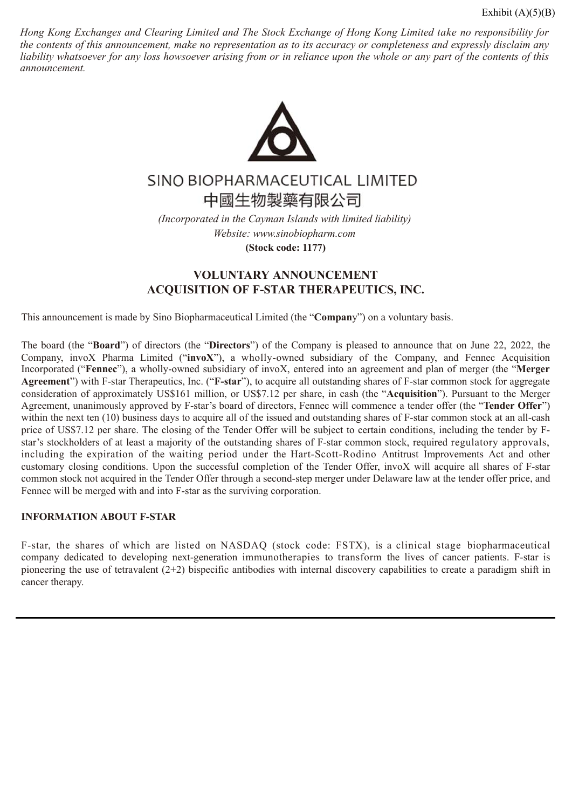Hong Kong Exchanges and Clearing Limited and The Stock Exchange of Hong Kong Limited take no responsibility for the contents of this announcement, make no representation as to its accuracy or completeness and expressly disclaim any liability whatsoever for any loss howsoever arising from or in reliance upon the whole or any part of the contents of this *announcement.*



# SINO BIOPHARMACEUTICAL LIMITED 中國生物製藥有限公司

*(Incorporated in the Cayman Islands with limited liability) Website: www.sinobiopharm.com* **(Stock code: 1177)**

# **VOLUNTARY ANNOUNCEMENT ACQUISITION OF F-STAR THERAPEUTICS, INC.**

This announcement is made by Sino Biopharmaceutical Limited (the "**Compan**y") on a voluntary basis.

The board (the "**Board**") of directors (the "**Directors**") of the Company is pleased to announce that on June 22, 2022, the Company, invoX Pharma Limited ("**invoX**"), a wholly-owned subsidiary of the Company, and Fennec Acquisition Incorporated ("**Fennec**"), a wholly-owned subsidiary of invoX, entered into an agreement and plan of merger (the "**Merger Agreement**") with F-star Therapeutics, Inc. ("**F-star**"), to acquire all outstanding shares of F-star common stock for aggregate consideration of approximately US\$161 million, or US\$7.12 per share, in cash (the "**Acquisition**"). Pursuant to the Merger Agreement, unanimously approved by F-star's board of directors, Fennec will commence a tender offer (the "**Tender Offer**") within the next ten (10) business days to acquire all of the issued and outstanding shares of F-star common stock at an all-cash price of US\$7.12 per share. The closing of the Tender Offer will be subject to certain conditions, including the tender by Fstar's stockholders of at least a majority of the outstanding shares of F-star common stock, required regulatory approvals, including the expiration of the waiting period under the Hart-Scott-Rodino Antitrust Improvements Act and other customary closing conditions. Upon the successful completion of the Tender Offer, invoX will acquire all shares of F-star common stock not acquired in the Tender Offer through a second-step merger under Delaware law at the tender offer price, and Fennec will be merged with and into F-star as the surviving corporation.

# **INFORMATION ABOUT F-STAR**

F-star, the shares of which are listed on NASDAQ (stock code: FSTX), is a clinical stage biopharmaceutical company dedicated to developing next-generation immunotherapies to transform the lives of cancer patients. F-star is pioneering the use of tetravalent (2+2) bispecific antibodies with internal discovery capabilities to create a paradigm shift in cancer therapy.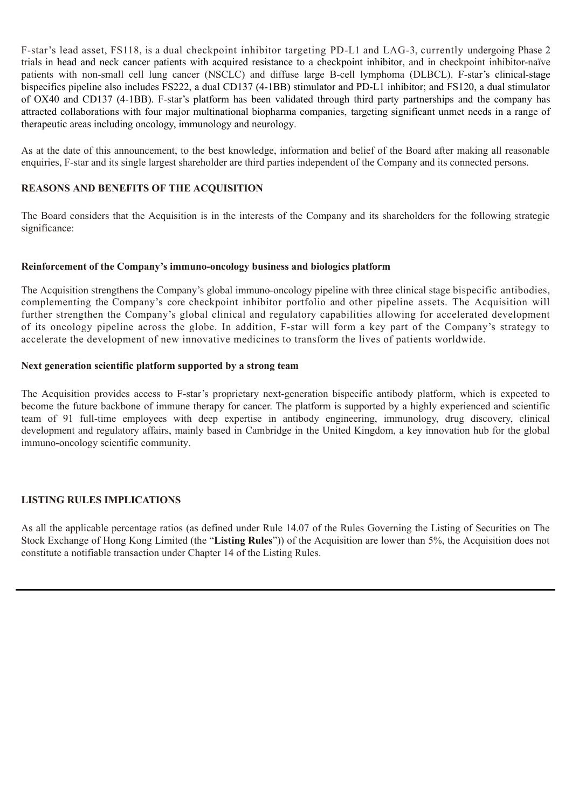F-star's lead asset, FS118, is a dual checkpoint inhibitor targeting PD-L1 and LAG-3, currently undergoing Phase 2 trials in head and neck cancer patients with acquired resistance to a checkpoint inhibitor, and in checkpoint inhibitor-naïve patients with non-small cell lung cancer (NSCLC) and diffuse large B-cell lymphoma (DLBCL). F-star's clinical-stage bispecifics pipeline also includes FS222, a dual CD137 (4-1BB) stimulator and PD-L1 inhibitor; and FS120, a dual stimulator of OX40 and CD137 (4-1BB). F-star's platform has been validated through third party partnerships and the company has attracted collaborations with four major multinational biopharma companies, targeting significant unmet needs in a range of therapeutic areas including oncology, immunology and neurology.

As at the date of this announcement, to the best knowledge, information and belief of the Board after making all reasonable enquiries, F-star and its single largest shareholder are third parties independent of the Company and its connected persons.

# **REASONS AND BENEFITS OF THE ACQUISITION**

The Board considers that the Acquisition is in the interests of the Company and its shareholders for the following strategic significance:

## **Reinforcement of the Company's immuno-oncology business and biologics platform**

The Acquisition strengthens the Company's global immuno-oncology pipeline with three clinical stage bispecific antibodies, complementing the Company's core checkpoint inhibitor portfolio and other pipeline assets. The Acquisition will further strengthen the Company's global clinical and regulatory capabilities allowing for accelerated development of its oncology pipeline across the globe. In addition, F-star will form a key part of the Company's strategy to accelerate the development of new innovative medicines to transform the lives of patients worldwide.

## **Next generation scientific platform supported by a strong team**

The Acquisition provides access to F-star's proprietary next-generation bispecific antibody platform, which is expected to become the future backbone of immune therapy for cancer. The platform is supported by a highly experienced and scientific team of 91 full-time employees with deep expertise in antibody engineering, immunology, drug discovery, clinical development and regulatory affairs, mainly based in Cambridge in the United Kingdom, a key innovation hub for the global immuno-oncology scientific community.

# **LISTING RULES IMPLICATIONS**

As all the applicable percentage ratios (as defined under Rule 14.07 of the Rules Governing the Listing of Securities on The Stock Exchange of Hong Kong Limited (the "**Listing Rules**")) of the Acquisition are lower than 5%, the Acquisition does not constitute a notifiable transaction under Chapter 14 of the Listing Rules.